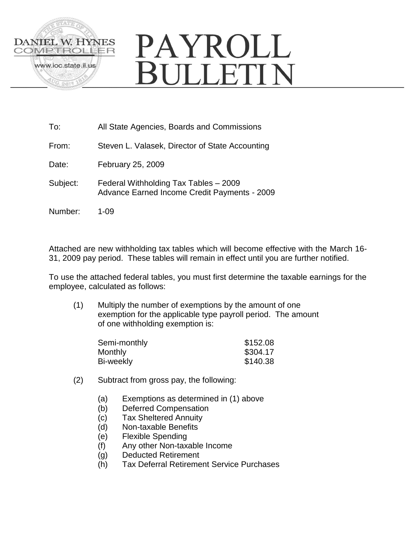

| To:      | All State Agencies, Boards and Commissions                                                   |
|----------|----------------------------------------------------------------------------------------------|
| From:    | Steven L. Valasek, Director of State Accounting                                              |
| Date:    | February 25, 2009                                                                            |
| Subject: | Federal Withholding Tax Tables - 2009<br><b>Advance Earned Income Credit Payments - 2009</b> |
| Number:  | 1-09                                                                                         |

Attached are new withholding tax tables which will become effective with the March 16- 31, 2009 pay period. These tables will remain in effect until you are further notified.

To use the attached federal tables, you must first determine the taxable earnings for the employee, calculated as follows:

(1) Multiply the number of exemptions by the amount of one exemption for the applicable type payroll period. The amount of one withholding exemption is:

| Semi-monthly | \$152.08 |
|--------------|----------|
| Monthly      | \$304.17 |
| Bi-weekly    | \$140.38 |

- (2) Subtract from gross pay, the following:
	- (a) Exemptions as determined in (1) above
	- (b) Deferred Compensation
	- (c) Tax Sheltered Annuity
	- (d) Non-taxable Benefits
	- (e) Flexible Spending
	- (f) Any other Non-taxable Income
	- (g) Deducted Retirement
	- (h) Tax Deferral Retirement Service Purchases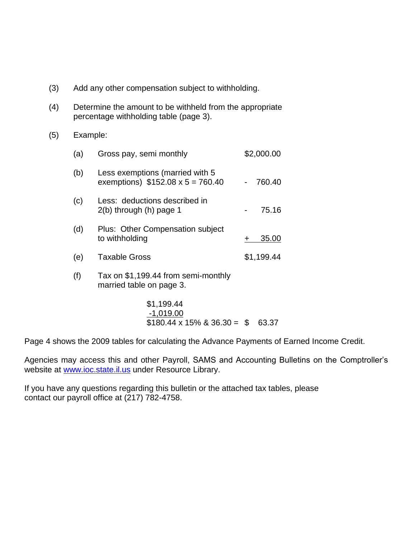- (3) Add any other compensation subject to withholding.
- (4) Determine the amount to be withheld from the appropriate percentage withholding table (page 3).
- (5) Example:

| (a) | Gross pay, semi monthly                                                    | \$2,000.00 |
|-----|----------------------------------------------------------------------------|------------|
| (b) | Less exemptions (married with 5<br>exemptions) $$152.08 \times 5 = 760.40$ | 760.40     |
| (c) | Less: deductions described in<br>$2(b)$ through $(h)$ page 1               | 75.16      |
| (d) | Plus: Other Compensation subject<br>to withholding                         | 35.00      |
| (e) | <b>Taxable Gross</b>                                                       | \$1,199.44 |
| (f) | Tax on \$1,199.44 from semi-monthly<br>married table on page 3.            |            |
|     |                                                                            |            |

\$1,199.44 -1,019.00  $$180.44 \times 15\%$  & 36.30 = \$ 63.37

Page 4 shows the 2009 tables for calculating the Advance Payments of Earned Income Credit.

Agencies may access this and other Payroll, SAMS and Accounting Bulletins on the Comptroller's website at [www.ioc.state.il.us](http://www.ioc.state.il.us/) under Resource Library.

If you have any questions regarding this bulletin or the attached tax tables, please contact our payroll office at (217) 782-4758.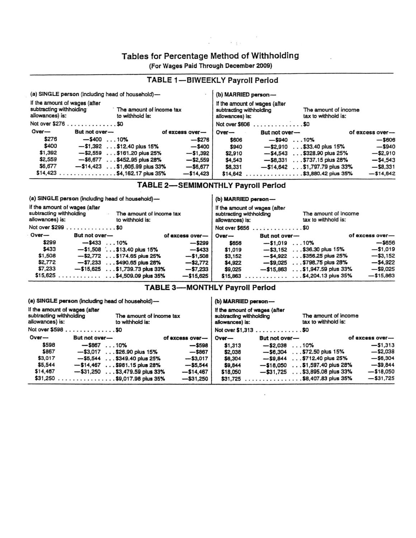# Tables for Percentage Method of Withholding

in<br>Albert Barbara

(For Wages Paid Through December 2009)

| (a) SINGLE person (including head of household)-<br>If the amount of wages (after<br>subtracting withholding<br>The amount of income tax<br>allowances) is:<br>to withhold is:<br>Not over \$276 \$0 |                                  |                 |          | (b) MARRIED person-<br>If the amount of wages (after<br>subtracting withholding<br>allowances) is:<br>Not over \$606<br>. \$0 | The amount of income<br>tax to withhold is: |                 |
|------------------------------------------------------------------------------------------------------------------------------------------------------------------------------------------------------|----------------------------------|-----------------|----------|-------------------------------------------------------------------------------------------------------------------------------|---------------------------------------------|-----------------|
| $Over-$                                                                                                                                                                                              | But not over-                    | of excess over- | $Over-$  | But not over-                                                                                                                 |                                             | of excess over- |
| \$276                                                                                                                                                                                                | $-$ \$400 $$ 10%                 | $-$ \$276       | \$606    | $-$ \$940 $\dots$ 10%                                                                                                         |                                             | $-$ \$606       |
| \$400                                                                                                                                                                                                | $-$ \$1,392 \$12.40 plus 15%     | $-$ \$400       | \$940    | $-$ \$2.910                                                                                                                   | .\$33.40 plus 15%                           | $-$ \$940       |
| \$1,392                                                                                                                                                                                              | $-$ \$2,559 \$161.20 plus 25%    | $-51,392$       | \$2,910  |                                                                                                                               | $-$ \$4.543 \$328.90 plus 25%               | $-$ \$2,910     |
| \$2,559                                                                                                                                                                                              | $-$ \$6,677 \$452.95 plus 28%    | $-$ \$2,559     | \$4,543  | $-$ \$8.331                                                                                                                   | $\ldots$ \$737.15 plus 28%                  | $-54.543$       |
| \$6,677                                                                                                                                                                                              | $-$ \$14,423 \$1,605.99 plus 33% | $-$ \$6,677     | \$8,331  | $-$ \$14,642                                                                                                                  | $\ldots$ \$1,797.79 plus 33%                | $-$ \$8.331     |
|                                                                                                                                                                                                      | $$14,423$ \$4,162.17 plus 35%    | $- $14,423$     | \$14,642 | . \$3,880.42 plus 35%                                                                                                         |                                             | $-514,642$      |
|                                                                                                                                                                                                      |                                  |                 |          |                                                                                                                               |                                             |                 |

## **TABLE 1-BIWEEKLY Payroll Period**

# TABLE 2-SEMIMONTHLY Payroll Period

| (a) SINGLE person (including head of household)-                                                                           |                       |                                  |                 |                                                                                                                            | (b) MARRIED person- |                                                   |                 |
|----------------------------------------------------------------------------------------------------------------------------|-----------------------|----------------------------------|-----------------|----------------------------------------------------------------------------------------------------------------------------|---------------------|---------------------------------------------------|-----------------|
| If the amount of wages (after<br>subtracting withholding<br>The amount of income tax<br>allowances) is:<br>to withhold is: |                       |                                  |                 | If the amount of wages (after<br>The amount of income<br>subtracting withholding<br>tax to withhold is:<br>allowances) is: |                     |                                                   |                 |
|                                                                                                                            | Not over \$299 \$0    |                                  |                 |                                                                                                                            | Not over \$656 \$0  |                                                   |                 |
| $Over-$                                                                                                                    | But not over-         |                                  | of excess over- | $Over-$                                                                                                                    | But not over-       |                                                   | of excess over- |
| \$299                                                                                                                      | $-$ \$433 $\dots$ 10% |                                  | $-$ \$299       | \$656                                                                                                                      | $-51.019$           | $\dots$ 10%                                       | $-$ \$656       |
| \$433                                                                                                                      |                       | $-$ \$1,508 \$13.40 plus 15%     | $-5433$         | \$1,019                                                                                                                    |                     | $-$ \$3,152 \$36.30 plus 15%                      | $-51,019$       |
| \$1,508                                                                                                                    |                       | $-$ \$2,772 \$174.65 plus 25%    | $-$ \$1,508     | \$3.152                                                                                                                    |                     | $-$ \$4.922 \$356.25 plus 25%                     | $-53,152$       |
| \$2,772                                                                                                                    | $-57.233$             | $\ldots$ \$490.65 plus 28%       | $-$ \$2.772     | \$4,922                                                                                                                    |                     | $-$ \$9.025 \$798.75 plus 28%                     | $-54,922$       |
| \$7,233                                                                                                                    |                       | $-$ \$15,625 \$1,739.73 plus 33% | $-57.233$       | \$9,025                                                                                                                    | $-$ \$15,863        | $$ \$1,947.59 plus 33%                            | $-$ \$9,025     |
|                                                                                                                            |                       | $$15,625$ \$4,509.09 plus 35%    | $-$ \$15,625    | \$15,863                                                                                                                   |                     | $\ldots \ldots \ldots \ldots$ \$4,204.13 plus 35% | $-$ \$15,863    |

# **TABLE 3-MONTHLY Payroll Period**

(a) SINGLE person (including head of household)-

#### (b) MARRIED person-

 $\bar{a}$ 

| If the amount of wages (after<br>subtracting withholding<br>The amount of income tax<br>allowances) is:<br>to withhold is: |                       |                                           |                 | subtracting withholding<br>allowances) is: | If the amount of wages (after | The amount of income<br>tax to withhold is: |                 |
|----------------------------------------------------------------------------------------------------------------------------|-----------------------|-------------------------------------------|-----------------|--------------------------------------------|-------------------------------|---------------------------------------------|-----------------|
| Not over \$598 \$0                                                                                                         |                       |                                           |                 |                                            | Not over \$1,313 \$0          |                                             |                 |
| $Over-$                                                                                                                    | But not over-         |                                           | of excess over- | Over-                                      | But not over-                 |                                             | of excess over- |
| \$598                                                                                                                      | $-$ \$867 $\dots$ 10% |                                           | $-$ \$598       | \$1,313                                    | $-$ \$2.038 $\dots$ 10%       |                                             | $-51,313$       |
| \$867                                                                                                                      |                       | $-$ \$3,017 \$26.90 plus 15%              | $-$ \$867       | \$2,038                                    |                               | $-$ \$6,304 \$72.50 plus 15%                | $-$ \$2,038     |
| \$3,017                                                                                                                    |                       | $-$ \$5,544 \$349.40 plus 25%             | $-$ \$3,017     | \$6,304                                    |                               | $-$ \$9,844 \$712.40 plus 25%               | $-$ \$6,304     |
| \$5,544                                                                                                                    |                       | $-$ \$14,467 \$981.15 plus 28%            | $-$ \$5,544     | \$9,844                                    |                               | $-$ \$18,050 \$1,597.40 plus 28%            | $-$ \$9.844     |
| \$14,467                                                                                                                   |                       | $-$ \$31,250 $\ldots$ \$3,479.59 plus 33% | $-$ \$14,467    | \$18,050                                   |                               | $-$ \$31,725 \$3,895.08 plus 33%            | $- $18,050$     |
|                                                                                                                            |                       | \$31,250 \$9,017.98 plus 35%              | $-$ \$31,250    | \$31,725                                   |                               | . \$8,407.83 plus 35%                       | $-531,725$      |